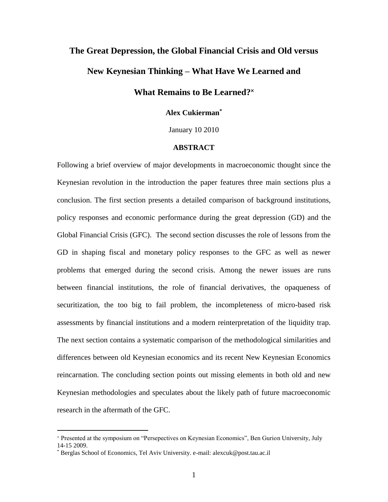# **The Great Depression, the Global Financial Crisis and Old versus New Keynesian Thinking – What Have We Learned and**

## **What Remains to Be Learned?**

### **Alex Cukierman\***

January 10 2010

#### **ABSTRACT**

Following a brief overview of major developments in macroeconomic thought since the Keynesian revolution in the introduction the paper features three main sections plus a conclusion. The first section presents a detailed comparison of background institutions, policy responses and economic performance during the great depression (GD) and the Global Financial Crisis (GFC). The second section discusses the role of lessons from the GD in shaping fiscal and monetary policy responses to the GFC as well as newer problems that emerged during the second crisis. Among the newer issues are runs between financial institutions, the role of financial derivatives, the opaqueness of securitization, the too big to fail problem, the incompleteness of micro-based risk assessments by financial institutions and a modern reinterpretation of the liquidity trap. The next section contains a systematic comparison of the methodological similarities and differences between old Keynesian economics and its recent New Keynesian Economics reincarnation. The concluding section points out missing elements in both old and new Keynesian methodologies and speculates about the likely path of future macroeconomic research in the aftermath of the GFC.

Presented at the symposium on "Persepectives on Keynesian Economics", Ben Gurion University, July 14-15 2009.

Berglas School of Economics, Tel Aviv University. e-mail: alexcuk@post.tau.ac.il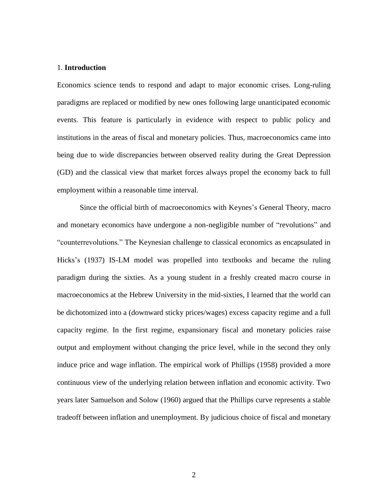#### 1. **Introduction**

Economics science tends to respond and adapt to major economic crises. Long-ruling paradigms are replaced or modified by new ones following large unanticipated economic events. This feature is particularly in evidence with respect to public policy and institutions in the areas of fiscal and monetary policies. Thus, macroeconomics came into being due to wide discrepancies between observed reality during the Great Depression (GD) and the classical view that market forces always propel the economy back to full employment within a reasonable time interval.

Since the official birth of macroeconomics with Keynes's General Theory, macro and monetary economics have undergone a non-negligible number of "revolutions" and "counterrevolutions." The Keynesian challenge to classical economics as encapsulated in Hicks's (1937) IS-LM model was propelled into textbooks and became the ruling paradigm during the sixties. As a young student in a freshly created macro course in macroeconomics at the Hebrew University in the mid-sixties, I learned that the world can be dichotomized into a (downward sticky prices/wages) excess capacity regime and a full capacity regime. In the first regime, expansionary fiscal and monetary policies raise output and employment without changing the price level, while in the second they only induce price and wage inflation. The empirical work of Phillips (1958) provided a more continuous view of the underlying relation between inflation and economic activity. Two years later Samuelson and Solow (1960) argued that the Phillips curve represents a stable tradeoff between inflation and unemployment. By judicious choice of fiscal and monetary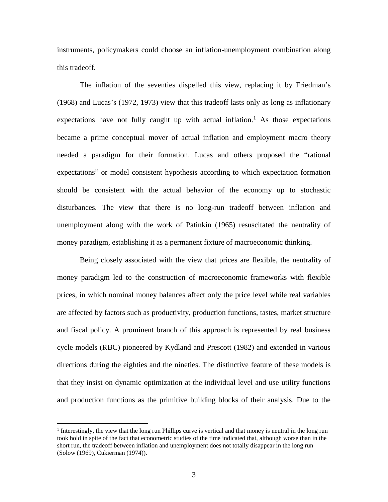instruments, policymakers could choose an inflation-unemployment combination along this tradeoff.

The inflation of the seventies dispelled this view, replacing it by Friedman's (1968) and Lucas's (1972, 1973) view that this tradeoff lasts only as long as inflationary expectations have not fully caught up with actual inflation.<sup>1</sup> As those expectations became a prime conceptual mover of actual inflation and employment macro theory needed a paradigm for their formation. Lucas and others proposed the "rational expectations" or model consistent hypothesis according to which expectation formation should be consistent with the actual behavior of the economy up to stochastic disturbances. The view that there is no long-run tradeoff between inflation and unemployment along with the work of Patinkin (1965) resuscitated the neutrality of money paradigm, establishing it as a permanent fixture of macroeconomic thinking.

Being closely associated with the view that prices are flexible, the neutrality of money paradigm led to the construction of macroeconomic frameworks with flexible prices, in which nominal money balances affect only the price level while real variables are affected by factors such as productivity, production functions, tastes, market structure and fiscal policy. A prominent branch of this approach is represented by real business cycle models (RBC) pioneered by Kydland and Prescott (1982) and extended in various directions during the eighties and the nineties. The distinctive feature of these models is that they insist on dynamic optimization at the individual level and use utility functions and production functions as the primitive building blocks of their analysis. Due to the

<sup>&</sup>lt;sup>1</sup> Interestingly, the view that the long run Phillips curve is vertical and that money is neutral in the long run took hold in spite of the fact that econometric studies of the time indicated that, although worse than in the short run, the tradeoff between inflation and unemployment does not totally disappear in the long run (Solow (1969), Cukierman (1974)).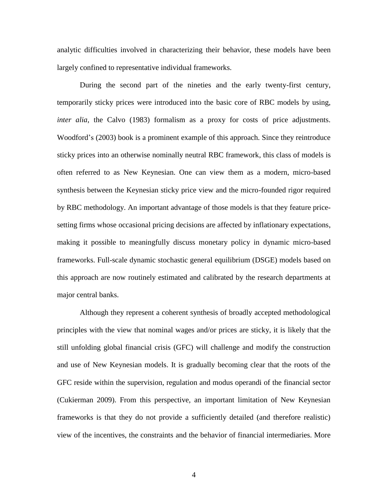analytic difficulties involved in characterizing their behavior, these models have been largely confined to representative individual frameworks.

During the second part of the nineties and the early twenty-first century, temporarily sticky prices were introduced into the basic core of RBC models by using, *inter alia*, the Calvo (1983) formalism as a proxy for costs of price adjustments. Woodford's (2003) book is a prominent example of this approach. Since they reintroduce sticky prices into an otherwise nominally neutral RBC framework, this class of models is often referred to as New Keynesian. One can view them as a modern, micro-based synthesis between the Keynesian sticky price view and the micro-founded rigor required by RBC methodology. An important advantage of those models is that they feature pricesetting firms whose occasional pricing decisions are affected by inflationary expectations, making it possible to meaningfully discuss monetary policy in dynamic micro-based frameworks. Full-scale dynamic stochastic general equilibrium (DSGE) models based on this approach are now routinely estimated and calibrated by the research departments at major central banks.

Although they represent a coherent synthesis of broadly accepted methodological principles with the view that nominal wages and/or prices are sticky, it is likely that the still unfolding global financial crisis (GFC) will challenge and modify the construction and use of New Keynesian models. It is gradually becoming clear that the roots of the GFC reside within the supervision, regulation and modus operandi of the financial sector (Cukierman 2009). From this perspective, an important limitation of New Keynesian frameworks is that they do not provide a sufficiently detailed (and therefore realistic) view of the incentives, the constraints and the behavior of financial intermediaries. More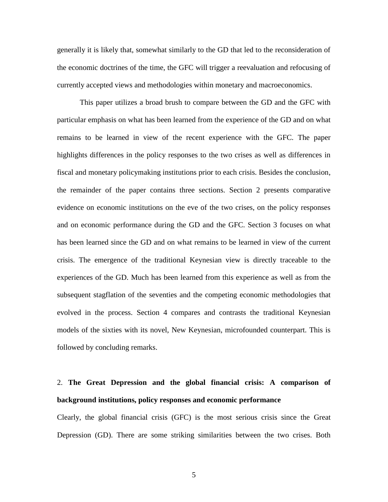generally it is likely that, somewhat similarly to the GD that led to the reconsideration of the economic doctrines of the time, the GFC will trigger a reevaluation and refocusing of currently accepted views and methodologies within monetary and macroeconomics.

This paper utilizes a broad brush to compare between the GD and the GFC with particular emphasis on what has been learned from the experience of the GD and on what remains to be learned in view of the recent experience with the GFC. The paper highlights differences in the policy responses to the two crises as well as differences in fiscal and monetary policymaking institutions prior to each crisis. Besides the conclusion, the remainder of the paper contains three sections. Section 2 presents comparative evidence on economic institutions on the eve of the two crises, on the policy responses and on economic performance during the GD and the GFC. Section 3 focuses on what has been learned since the GD and on what remains to be learned in view of the current crisis. The emergence of the traditional Keynesian view is directly traceable to the experiences of the GD. Much has been learned from this experience as well as from the subsequent stagflation of the seventies and the competing economic methodologies that evolved in the process. Section 4 compares and contrasts the traditional Keynesian models of the sixties with its novel, New Keynesian, microfounded counterpart. This is followed by concluding remarks.

# 2. **The Great Depression and the global financial crisis: A comparison of background institutions, policy responses and economic performance**

Clearly, the global financial crisis (GFC) is the most serious crisis since the Great Depression (GD). There are some striking similarities between the two crises. Both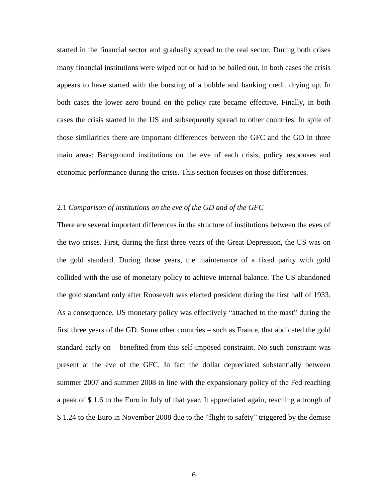started in the financial sector and gradually spread to the real sector. During both crises many financial institutions were wiped out or had to be bailed out. In both cases the crisis appears to have started with the bursting of a bubble and banking credit drying up. In both cases the lower zero bound on the policy rate became effective. Finally, in both cases the crisis started in the US and subsequently spread to other countries. In spite of those similarities there are important differences between the GFC and the GD in three main areas: Background institutions on the eve of each crisis, policy responses and economic performance during the crisis. This section focuses on those differences.

#### 2.1 *Comparison of institutions on the eve of the GD and of the GFC*

There are several important differences in the structure of institutions between the eves of the two crises. First, during the first three years of the Great Depression, the US was on the gold standard. During those years, the maintenance of a fixed parity with gold collided with the use of monetary policy to achieve internal balance. The US abandoned the gold standard only after Roosevelt was elected president during the first half of 1933. As a consequence, US monetary policy was effectively "attached to the mast" during the first three years of the GD. Some other countries – such as France, that abdicated the gold standard early on – benefited from this self-imposed constraint. No such constraint was present at the eve of the GFC. In fact the dollar depreciated substantially between summer 2007 and summer 2008 in line with the expansionary policy of the Fed reaching a peak of \$ 1.6 to the Euro in July of that year. It appreciated again, reaching a trough of \$ 1.24 to the Euro in November 2008 due to the "flight to safety" triggered by the demise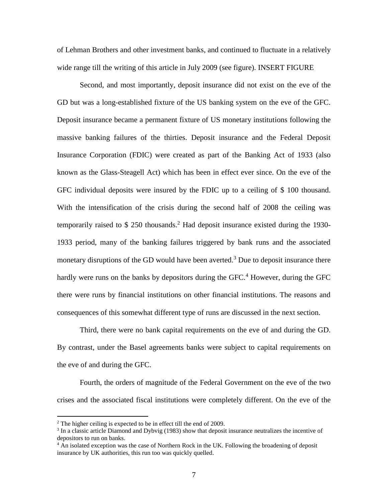of Lehman Brothers and other investment banks, and continued to fluctuate in a relatively wide range till the writing of this article in July 2009 (see figure). INSERT FIGURE

Second, and most importantly, deposit insurance did not exist on the eve of the GD but was a long-established fixture of the US banking system on the eve of the GFC. Deposit insurance became a permanent fixture of US monetary institutions following the massive banking failures of the thirties. Deposit insurance and the Federal Deposit Insurance Corporation (FDIC) were created as part of the Banking Act of 1933 (also known as the Glass-Steagell Act) which has been in effect ever since. On the eve of the GFC individual deposits were insured by the FDIC up to a ceiling of \$ 100 thousand. With the intensification of the crisis during the second half of 2008 the ceiling was temporarily raised to  $$ 250$  thousands.<sup>2</sup> Had deposit insurance existed during the 1930-1933 period, many of the banking failures triggered by bank runs and the associated monetary disruptions of the GD would have been averted.<sup>3</sup> Due to deposit insurance there hardly were runs on the banks by depositors during the  $GFC<sup>4</sup>$  However, during the GFC there were runs by financial institutions on other financial institutions. The reasons and consequences of this somewhat different type of runs are discussed in the next section.

Third, there were no bank capital requirements on the eve of and during the GD. By contrast, under the Basel agreements banks were subject to capital requirements on the eve of and during the GFC.

Fourth, the orders of magnitude of the Federal Government on the eve of the two crises and the associated fiscal institutions were completely different. On the eve of the

<sup>&</sup>lt;sup>2</sup> The higher ceiling is expected to be in effect till the end of 2009.

<sup>&</sup>lt;sup>3</sup> In a classic article Diamond and Dybvig (1983) show that deposit insurance neutralizes the incentive of depositors to run on banks.

<sup>&</sup>lt;sup>4</sup> An isolated exception was the case of Northern Rock in the UK. Following the broadening of deposit insurance by UK authorities, this run too was quickly quelled.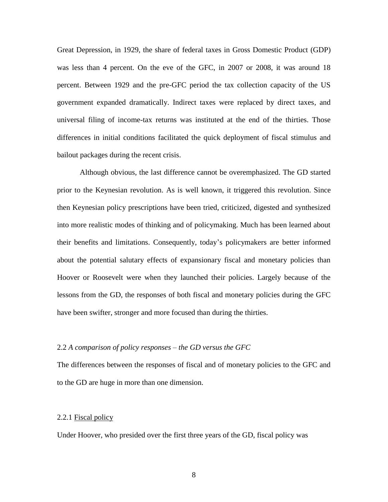Great Depression, in 1929, the share of federal taxes in Gross Domestic Product (GDP) was less than 4 percent. On the eve of the GFC, in 2007 or 2008, it was around 18 percent. Between 1929 and the pre-GFC period the tax collection capacity of the US government expanded dramatically. Indirect taxes were replaced by direct taxes, and universal filing of income-tax returns was instituted at the end of the thirties. Those differences in initial conditions facilitated the quick deployment of fiscal stimulus and bailout packages during the recent crisis.

Although obvious, the last difference cannot be overemphasized. The GD started prior to the Keynesian revolution. As is well known, it triggered this revolution. Since then Keynesian policy prescriptions have been tried, criticized, digested and synthesized into more realistic modes of thinking and of policymaking. Much has been learned about their benefits and limitations. Consequently, today's policymakers are better informed about the potential salutary effects of expansionary fiscal and monetary policies than Hoover or Roosevelt were when they launched their policies. Largely because of the lessons from the GD, the responses of both fiscal and monetary policies during the GFC have been swifter, stronger and more focused than during the thirties.

#### 2.2 *A comparison of policy responses – the GD versus the GFC*

The differences between the responses of fiscal and of monetary policies to the GFC and to the GD are huge in more than one dimension.

#### 2.2.1 Fiscal policy

Under Hoover, who presided over the first three years of the GD, fiscal policy was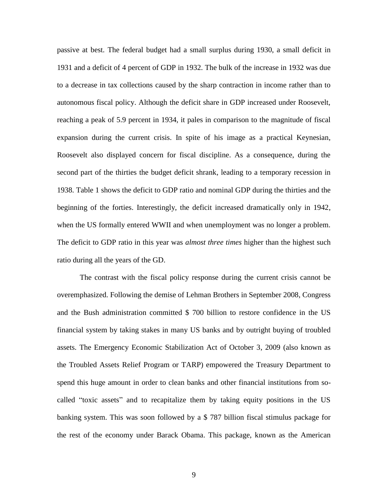passive at best. The federal budget had a small surplus during 1930, a small deficit in 1931 and a deficit of 4 percent of GDP in 1932. The bulk of the increase in 1932 was due to a decrease in tax collections caused by the sharp contraction in income rather than to autonomous fiscal policy. Although the deficit share in GDP increased under Roosevelt, reaching a peak of 5.9 percent in 1934, it pales in comparison to the magnitude of fiscal expansion during the current crisis. In spite of his image as a practical Keynesian, Roosevelt also displayed concern for fiscal discipline. As a consequence, during the second part of the thirties the budget deficit shrank, leading to a temporary recession in 1938. Table 1 shows the deficit to GDP ratio and nominal GDP during the thirties and the beginning of the forties. Interestingly, the deficit increased dramatically only in 1942, when the US formally entered WWII and when unemployment was no longer a problem. The deficit to GDP ratio in this year was *almost three times* higher than the highest such ratio during all the years of the GD.

The contrast with the fiscal policy response during the current crisis cannot be overemphasized. Following the demise of Lehman Brothers in September 2008, Congress and the Bush administration committed \$ 700 billion to restore confidence in the US financial system by taking stakes in many US banks and by outright buying of troubled assets. The Emergency Economic Stabilization Act of October 3, 2009 (also known as the Troubled Assets Relief Program or TARP) empowered the Treasury Department to spend this huge amount in order to clean banks and other financial institutions from socalled "toxic assets" and to recapitalize them by taking equity positions in the US banking system. This was soon followed by a \$ 787 billion fiscal stimulus package for the rest of the economy under Barack Obama. This package, known as the American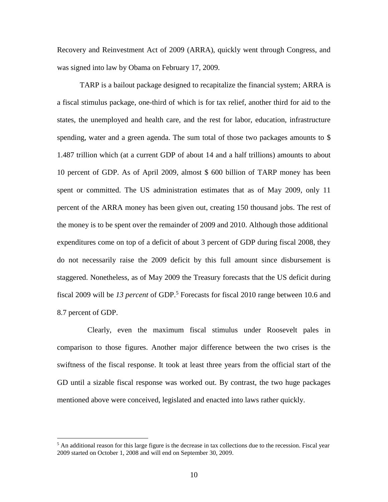Recovery and Reinvestment Act of 2009 (ARRA), quickly went through Congress, and was signed into law by Obama on February 17, 2009.

TARP is a bailout package designed to recapitalize the financial system; ARRA is a fiscal stimulus package, one-third of which is for tax relief, another third for aid to the states, the unemployed and health care, and the rest for labor, education, infrastructure spending, water and a green agenda. The sum total of those two packages amounts to \$ 1.487 trillion which (at a current GDP of about 14 and a half trillions) amounts to about 10 percent of GDP. As of April 2009, almost \$ 600 billion of TARP money has been spent or committed. The US administration estimates that as of May 2009, only 11 percent of the ARRA money has been given out, creating 150 thousand jobs. The rest of the money is to be spent over the remainder of 2009 and 2010. Although those additional expenditures come on top of a deficit of about 3 percent of GDP during fiscal 2008, they do not necessarily raise the 2009 deficit by this full amount since disbursement is staggered. Nonetheless, as of May 2009 the Treasury forecasts that the US deficit during fiscal 2009 will be *13 percent* of GDP.<sup>5</sup> Forecasts for fiscal 2010 range between 10.6 and 8.7 percent of GDP.

 Clearly, even the maximum fiscal stimulus under Roosevelt pales in comparison to those figures. Another major difference between the two crises is the swiftness of the fiscal response. It took at least three years from the official start of the GD until a sizable fiscal response was worked out. By contrast, the two huge packages mentioned above were conceived, legislated and enacted into laws rather quickly.

 $<sup>5</sup>$  An additional reason for this large figure is the decrease in tax collections due to the recession. Fiscal year</sup> 2009 started on October 1, 2008 and will end on September 30, 2009.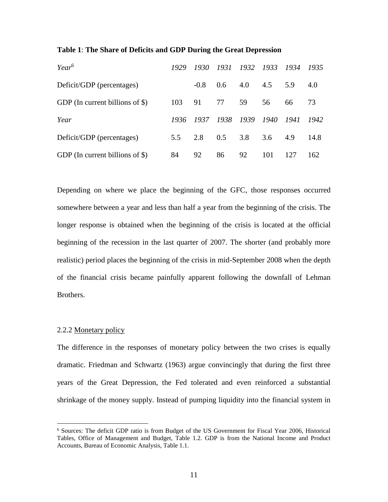| $Year^6$                          | 1929 | 1930   | 1931 | 1932 1933 |                | 1934 | 1935 |
|-----------------------------------|------|--------|------|-----------|----------------|------|------|
| Deficit/GDP (percentages)         |      | $-0.8$ | 0.6  |           | $4.0\quad 4.5$ | 5.9  | 4.0  |
| GDP (In current billions of $\$ ) | 103  | 91     | 77   | 59        | 56             | 66   | 73   |
| Year                              | 1936 | 1937   | 1938 | 1939      | 1940           | 1941 | 1942 |
| Deficit/GDP (percentages)         | 5.5  | 2.8    | 0.5  | 3.8       | 3.6            | 4.9  | 14.8 |
| GDP (In current billions of $\$ ) | 84   | 92     | 86   | 92        | 101            | 127  | 162  |

#### **Table 1**: **The Share of Deficits and GDP During the Great Depression**

Depending on where we place the beginning of the GFC, those responses occurred somewhere between a year and less than half a year from the beginning of the crisis. The longer response is obtained when the beginning of the crisis is located at the official beginning of the recession in the last quarter of 2007. The shorter (and probably more realistic) period places the beginning of the crisis in mid-September 2008 when the depth of the financial crisis became painfully apparent following the downfall of Lehman Brothers.

#### 2.2.2 Monetary policy

 $\overline{a}$ 

The difference in the responses of monetary policy between the two crises is equally dramatic. Friedman and Schwartz (1963) argue convincingly that during the first three years of the Great Depression, the Fed tolerated and even reinforced a substantial shrinkage of the money supply. Instead of pumping liquidity into the financial system in

<sup>6</sup> Sources: The deficit GDP ratio is from Budget of the US Government for Fiscal Year 2006, Historical Tables, Office of Management and Budget, Table 1.2. GDP is from the National Income and Product Accounts, Bureau of Economic Analysis, Table 1.1.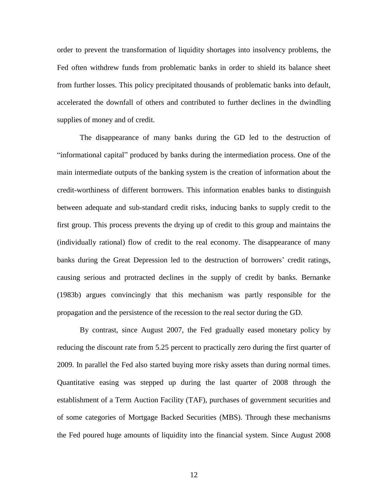order to prevent the transformation of liquidity shortages into insolvency problems, the Fed often withdrew funds from problematic banks in order to shield its balance sheet from further losses. This policy precipitated thousands of problematic banks into default, accelerated the downfall of others and contributed to further declines in the dwindling supplies of money and of credit.

The disappearance of many banks during the GD led to the destruction of "informational capital" produced by banks during the intermediation process. One of the main intermediate outputs of the banking system is the creation of information about the credit-worthiness of different borrowers. This information enables banks to distinguish between adequate and sub-standard credit risks, inducing banks to supply credit to the first group. This process prevents the drying up of credit to this group and maintains the (individually rational) flow of credit to the real economy. The disappearance of many banks during the Great Depression led to the destruction of borrowers' credit ratings, causing serious and protracted declines in the supply of credit by banks. Bernanke (1983b) argues convincingly that this mechanism was partly responsible for the propagation and the persistence of the recession to the real sector during the GD.

By contrast, since August 2007, the Fed gradually eased monetary policy by reducing the discount rate from 5.25 percent to practically zero during the first quarter of 2009. In parallel the Fed also started buying more risky assets than during normal times. Quantitative easing was stepped up during the last quarter of 2008 through the establishment of a Term Auction Facility (TAF), purchases of government securities and of some categories of Mortgage Backed Securities (MBS). Through these mechanisms the Fed poured huge amounts of liquidity into the financial system. Since August 2008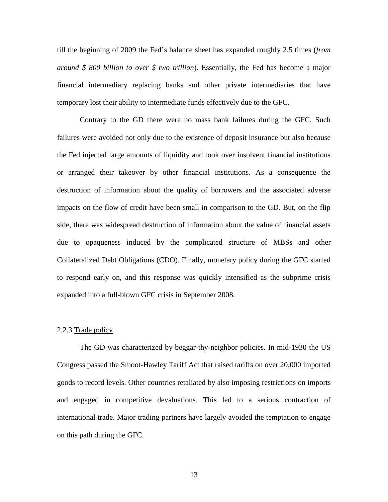till the beginning of 2009 the Fed's balance sheet has expanded roughly 2.5 times (*from around \$ 800 billion to over \$ two trillion*). Essentially, the Fed has become a major financial intermediary replacing banks and other private intermediaries that have temporary lost their ability to intermediate funds effectively due to the GFC.

Contrary to the GD there were no mass bank failures during the GFC. Such failures were avoided not only due to the existence of deposit insurance but also because the Fed injected large amounts of liquidity and took over insolvent financial institutions or arranged their takeover by other financial institutions. As a consequence the destruction of information about the quality of borrowers and the associated adverse impacts on the flow of credit have been small in comparison to the GD. But, on the flip side, there was widespread destruction of information about the value of financial assets due to opaqueness induced by the complicated structure of MBSs and other Collateralized Debt Obligations (CDO). Finally, monetary policy during the GFC started to respond early on, and this response was quickly intensified as the subprime crisis expanded into a full-blown GFC crisis in September 2008.

#### 2.2.3 Trade policy

The GD was characterized by beggar-thy-neighbor policies. In mid-1930 the US Congress passed the Smoot-Hawley Tariff Act that raised tariffs on over 20,000 imported goods to record levels. Other countries retaliated by also imposing restrictions on imports and engaged in competitive devaluations. This led to a serious contraction of international trade. Major trading partners have largely avoided the temptation to engage on this path during the GFC.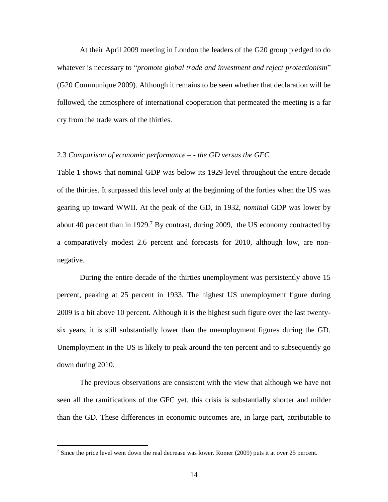At their April 2009 meeting in London the leaders of the G20 group pledged to do whatever is necessary to "*promote global trade and investment and reject protectionism*" (G20 Communique 2009). Although it remains to be seen whether that declaration will be followed, the atmosphere of international cooperation that permeated the meeting is a far cry from the trade wars of the thirties.

#### 2.3 *Comparison of economic performance – - the GD versus the GFC*

Table 1 shows that nominal GDP was below its 1929 level throughout the entire decade of the thirties. It surpassed this level only at the beginning of the forties when the US was gearing up toward WWII. At the peak of the GD, in 1932, *nominal* GDP was lower by about 40 percent than in 1929.<sup>7</sup> By contrast, during 2009, the US economy contracted by a comparatively modest 2.6 percent and forecasts for 2010, although low, are nonnegative.

During the entire decade of the thirties unemployment was persistently above 15 percent, peaking at 25 percent in 1933. The highest US unemployment figure during 2009 is a bit above 10 percent. Although it is the highest such figure over the last twentysix years, it is still substantially lower than the unemployment figures during the GD. Unemployment in the US is likely to peak around the ten percent and to subsequently go down during 2010.

The previous observations are consistent with the view that although we have not seen all the ramifications of the GFC yet, this crisis is substantially shorter and milder than the GD. These differences in economic outcomes are, in large part, attributable to

<sup>&</sup>lt;sup>7</sup> Since the price level went down the real decrease was lower. Romer (2009) puts it at over 25 percent.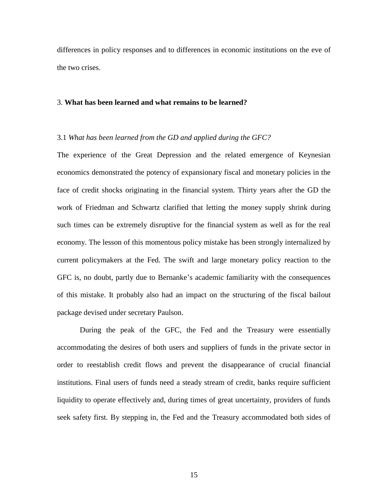differences in policy responses and to differences in economic institutions on the eve of the two crises.

#### 3. **What has been learned and what remains to be learned?**

#### 3.1 *What has been learned from the GD and applied during the GFC?*

The experience of the Great Depression and the related emergence of Keynesian economics demonstrated the potency of expansionary fiscal and monetary policies in the face of credit shocks originating in the financial system. Thirty years after the GD the work of Friedman and Schwartz clarified that letting the money supply shrink during such times can be extremely disruptive for the financial system as well as for the real economy. The lesson of this momentous policy mistake has been strongly internalized by current policymakers at the Fed. The swift and large monetary policy reaction to the GFC is, no doubt, partly due to Bernanke's academic familiarity with the consequences of this mistake. It probably also had an impact on the structuring of the fiscal bailout package devised under secretary Paulson.

During the peak of the GFC, the Fed and the Treasury were essentially accommodating the desires of both users and suppliers of funds in the private sector in order to reestablish credit flows and prevent the disappearance of crucial financial institutions. Final users of funds need a steady stream of credit, banks require sufficient liquidity to operate effectively and, during times of great uncertainty, providers of funds seek safety first. By stepping in, the Fed and the Treasury accommodated both sides of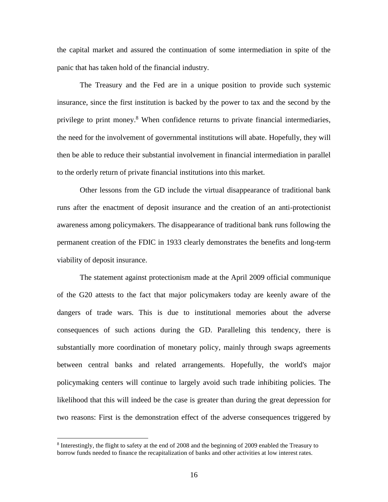the capital market and assured the continuation of some intermediation in spite of the panic that has taken hold of the financial industry.

The Treasury and the Fed are in a unique position to provide such systemic insurance, since the first institution is backed by the power to tax and the second by the privilege to print money.<sup>8</sup> When confidence returns to private financial intermediaries, the need for the involvement of governmental institutions will abate. Hopefully, they will then be able to reduce their substantial involvement in financial intermediation in parallel to the orderly return of private financial institutions into this market.

Other lessons from the GD include the virtual disappearance of traditional bank runs after the enactment of deposit insurance and the creation of an anti-protectionist awareness among policymakers. The disappearance of traditional bank runs following the permanent creation of the FDIC in 1933 clearly demonstrates the benefits and long-term viability of deposit insurance.

The statement against protectionism made at the April 2009 official communique of the G20 attests to the fact that major policymakers today are keenly aware of the dangers of trade wars. This is due to institutional memories about the adverse consequences of such actions during the GD. Paralleling this tendency, there is substantially more coordination of monetary policy, mainly through swaps agreements between central banks and related arrangements. Hopefully, the world's major policymaking centers will continue to largely avoid such trade inhibiting policies. The likelihood that this will indeed be the case is greater than during the great depression for two reasons: First is the demonstration effect of the adverse consequences triggered by

<sup>&</sup>lt;sup>8</sup> Interestingly, the flight to safety at the end of 2008 and the beginning of 2009 enabled the Treasury to borrow funds needed to finance the recapitalization of banks and other activities at low interest rates.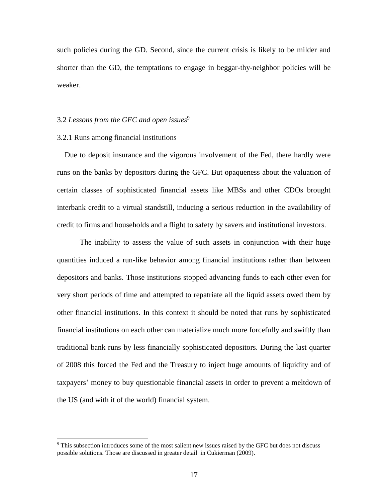such policies during the GD. Second, since the current crisis is likely to be milder and shorter than the GD, the temptations to engage in beggar-thy-neighbor policies will be weaker.

#### 3.2 *Lessons from the GFC and open issues*<sup>9</sup>

#### 3.2.1 Runs among financial institutions

 $\overline{a}$ 

 Due to deposit insurance and the vigorous involvement of the Fed, there hardly were runs on the banks by depositors during the GFC. But opaqueness about the valuation of certain classes of sophisticated financial assets like MBSs and other CDOs brought interbank credit to a virtual standstill, inducing a serious reduction in the availability of credit to firms and households and a flight to safety by savers and institutional investors.

The inability to assess the value of such assets in conjunction with their huge quantities induced a run-like behavior among financial institutions rather than between depositors and banks. Those institutions stopped advancing funds to each other even for very short periods of time and attempted to repatriate all the liquid assets owed them by other financial institutions. In this context it should be noted that runs by sophisticated financial institutions on each other can materialize much more forcefully and swiftly than traditional bank runs by less financially sophisticated depositors. During the last quarter of 2008 this forced the Fed and the Treasury to inject huge amounts of liquidity and of taxpayers' money to buy questionable financial assets in order to prevent a meltdown of the US (and with it of the world) financial system.

<sup>&</sup>lt;sup>9</sup> This subsection introduces some of the most salient new issues raised by the GFC but does not discuss possible solutions. Those are discussed in greater detail in Cukierman (2009).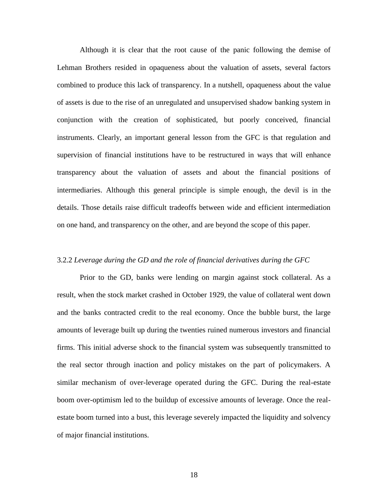Although it is clear that the root cause of the panic following the demise of Lehman Brothers resided in opaqueness about the valuation of assets, several factors combined to produce this lack of transparency. In a nutshell, opaqueness about the value of assets is due to the rise of an unregulated and unsupervised shadow banking system in conjunction with the creation of sophisticated, but poorly conceived, financial instruments. Clearly, an important general lesson from the GFC is that regulation and supervision of financial institutions have to be restructured in ways that will enhance transparency about the valuation of assets and about the financial positions of intermediaries. Although this general principle is simple enough, the devil is in the details. Those details raise difficult tradeoffs between wide and efficient intermediation on one hand, and transparency on the other, and are beyond the scope of this paper.

#### 3.2.2 *Leverage during the GD and the role of financial derivatives during the GFC*

Prior to the GD, banks were lending on margin against stock collateral. As a result, when the stock market crashed in October 1929, the value of collateral went down and the banks contracted credit to the real economy. Once the bubble burst, the large amounts of leverage built up during the twenties ruined numerous investors and financial firms. This initial adverse shock to the financial system was subsequently transmitted to the real sector through inaction and policy mistakes on the part of policymakers. A similar mechanism of over-leverage operated during the GFC. During the real-estate boom over-optimism led to the buildup of excessive amounts of leverage. Once the realestate boom turned into a bust, this leverage severely impacted the liquidity and solvency of major financial institutions.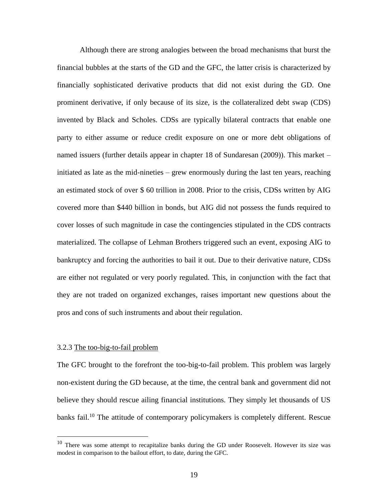Although there are strong analogies between the broad mechanisms that burst the financial bubbles at the starts of the GD and the GFC, the latter crisis is characterized by financially sophisticated derivative products that did not exist during the GD. One prominent derivative, if only because of its size, is the collateralized debt swap (CDS) invented by Black and Scholes. CDSs are typically bilateral contracts that enable one party to either assume or reduce credit exposure on one or more debt obligations of named issuers (further details appear in chapter 18 of Sundaresan (2009)). This market – initiated as late as the mid-nineties – grew enormously during the last ten years, reaching an estimated stock of over \$ 60 trillion in 2008. Prior to the crisis, CDSs written by AIG covered more than \$440 billion in bonds, but AIG did not possess the funds required to cover losses of such magnitude in case the contingencies stipulated in the CDS contracts materialized. The collapse of Lehman Brothers triggered such an event, exposing AIG to bankruptcy and forcing the authorities to bail it out. Due to their derivative nature, CDSs are either not regulated or very poorly regulated. This, in conjunction with the fact that they are not traded on organized exchanges, raises important new questions about the pros and cons of such instruments and about their regulation.

#### 3.2.3 The too-big-to-fail problem

 $\overline{a}$ 

The GFC brought to the forefront the too-big-to-fail problem. This problem was largely non-existent during the GD because, at the time, the central bank and government did not believe they should rescue ailing financial institutions. They simply let thousands of US banks fail.<sup>10</sup> The attitude of contemporary policymakers is completely different. Rescue

<sup>&</sup>lt;sup>10</sup> There was some attempt to recapitalize banks during the GD under Roosevelt. However its size was modest in comparison to the bailout effort, to date, during the GFC.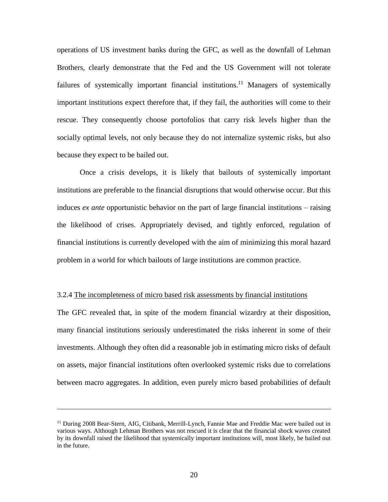operations of US investment banks during the GFC, as well as the downfall of Lehman Brothers, clearly demonstrate that the Fed and the US Government will not tolerate failures of systemically important financial institutions.<sup>11</sup> Managers of systemically important institutions expect therefore that, if they fail, the authorities will come to their rescue. They consequently choose portofolios that carry risk levels higher than the socially optimal levels, not only because they do not internalize systemic risks, but also because they expect to be bailed out.

Once a crisis develops, it is likely that bailouts of systemically important institutions are preferable to the financial disruptions that would otherwise occur. But this induces *ex ante* opportunistic behavior on the part of large financial institutions – raising the likelihood of crises. Appropriately devised, and tightly enforced, regulation of financial institutions is currently developed with the aim of minimizing this moral hazard problem in a world for which bailouts of large institutions are common practice.

#### 3.2.4 The incompleteness of micro based risk assessments by financial institutions

The GFC revealed that, in spite of the modern financial wizardry at their disposition, many financial institutions seriously underestimated the risks inherent in some of their investments. Although they often did a reasonable job in estimating micro risks of default on assets, major financial institutions often overlooked systemic risks due to correlations between macro aggregates. In addition, even purely micro based probabilities of default

<sup>&</sup>lt;sup>11</sup> During 2008 Bear-Stern, AIG, Citibank, Merrill-Lynch, Fannie Mae and Freddie Mac were bailed out in various ways. Although Lehman Brothers was not rescued it is clear that the financial shock waves created by its downfall raised the likelihood that systemically important institutions will, most likely, be bailed out in the future.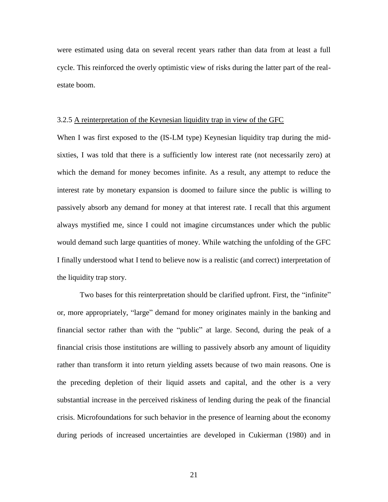were estimated using data on several recent years rather than data from at least a full cycle. This reinforced the overly optimistic view of risks during the latter part of the realestate boom.

#### 3.2.5 A reinterpretation of the Keynesian liquidity trap in view of the GFC

When I was first exposed to the (IS-LM type) Keynesian liquidity trap during the midsixties, I was told that there is a sufficiently low interest rate (not necessarily zero) at which the demand for money becomes infinite. As a result, any attempt to reduce the interest rate by monetary expansion is doomed to failure since the public is willing to passively absorb any demand for money at that interest rate. I recall that this argument always mystified me, since I could not imagine circumstances under which the public would demand such large quantities of money. While watching the unfolding of the GFC I finally understood what I tend to believe now is a realistic (and correct) interpretation of the liquidity trap story.

Two bases for this reinterpretation should be clarified upfront. First, the "infinite" or, more appropriately, "large" demand for money originates mainly in the banking and financial sector rather than with the "public" at large. Second, during the peak of a financial crisis those institutions are willing to passively absorb any amount of liquidity rather than transform it into return yielding assets because of two main reasons. One is the preceding depletion of their liquid assets and capital, and the other is a very substantial increase in the perceived riskiness of lending during the peak of the financial crisis. Microfoundations for such behavior in the presence of learning about the economy during periods of increased uncertainties are developed in Cukierman (1980) and in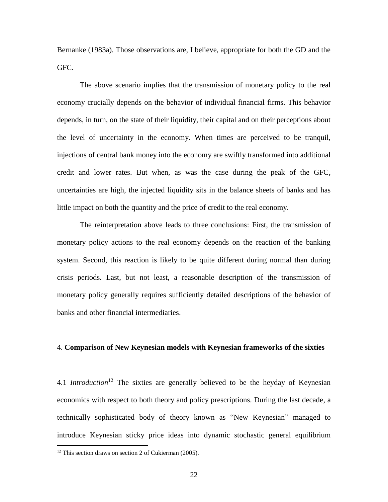Bernanke (1983a). Those observations are, I believe, appropriate for both the GD and the GFC.

The above scenario implies that the transmission of monetary policy to the real economy crucially depends on the behavior of individual financial firms. This behavior depends, in turn, on the state of their liquidity, their capital and on their perceptions about the level of uncertainty in the economy. When times are perceived to be tranquil, injections of central bank money into the economy are swiftly transformed into additional credit and lower rates. But when, as was the case during the peak of the GFC, uncertainties are high, the injected liquidity sits in the balance sheets of banks and has little impact on both the quantity and the price of credit to the real economy.

The reinterpretation above leads to three conclusions: First, the transmission of monetary policy actions to the real economy depends on the reaction of the banking system. Second, this reaction is likely to be quite different during normal than during crisis periods. Last, but not least, a reasonable description of the transmission of monetary policy generally requires sufficiently detailed descriptions of the behavior of banks and other financial intermediaries.

#### 4. **Comparison of New Keynesian models with Keynesian frameworks of the sixties**

4.1 *Introduction*<sup>12</sup> The sixties are generally believed to be the heyday of Keynesian economics with respect to both theory and policy prescriptions. During the last decade, a technically sophisticated body of theory known as "New Keynesian" managed to introduce Keynesian sticky price ideas into dynamic stochastic general equilibrium

 $12$  This section draws on section 2 of Cukierman (2005).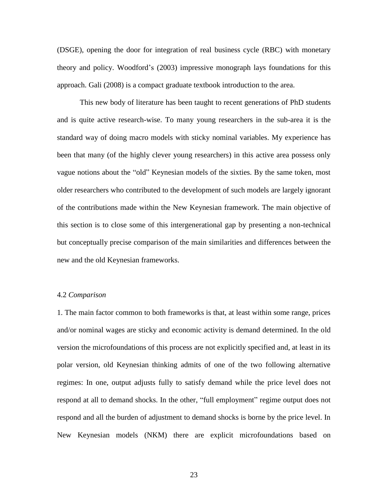(DSGE), opening the door for integration of real business cycle (RBC) with monetary theory and policy. Woodford's (2003) impressive monograph lays foundations for this approach. Gali (2008) is a compact graduate textbook introduction to the area.

This new body of literature has been taught to recent generations of PhD students and is quite active research-wise. To many young researchers in the sub-area it is the standard way of doing macro models with sticky nominal variables. My experience has been that many (of the highly clever young researchers) in this active area possess only vague notions about the "old" Keynesian models of the sixties. By the same token, most older researchers who contributed to the development of such models are largely ignorant of the contributions made within the New Keynesian framework. The main objective of this section is to close some of this intergenerational gap by presenting a non-technical but conceptually precise comparison of the main similarities and differences between the new and the old Keynesian frameworks.

#### 4.2 *Comparison*

1. The main factor common to both frameworks is that, at least within some range, prices and/or nominal wages are sticky and economic activity is demand determined. In the old version the microfoundations of this process are not explicitly specified and, at least in its polar version, old Keynesian thinking admits of one of the two following alternative regimes: In one, output adjusts fully to satisfy demand while the price level does not respond at all to demand shocks. In the other, "full employment" regime output does not respond and all the burden of adjustment to demand shocks is borne by the price level. In New Keynesian models (NKM) there are explicit microfoundations based on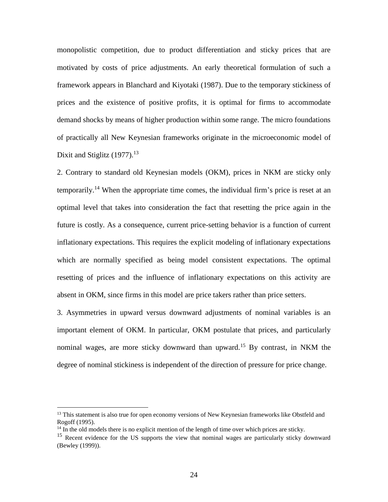monopolistic competition, due to product differentiation and sticky prices that are motivated by costs of price adjustments. An early theoretical formulation of such a framework appears in Blanchard and Kiyotaki (1987). Due to the temporary stickiness of prices and the existence of positive profits, it is optimal for firms to accommodate demand shocks by means of higher production within some range. The micro foundations of practically all New Keynesian frameworks originate in the microeconomic model of Dixit and Stiglitz  $(1977)$ .<sup>13</sup>

2. Contrary to standard old Keynesian models (OKM), prices in NKM are sticky only temporarily.<sup>14</sup> When the appropriate time comes, the individual firm's price is reset at an optimal level that takes into consideration the fact that resetting the price again in the future is costly. As a consequence, current price-setting behavior is a function of current inflationary expectations. This requires the explicit modeling of inflationary expectations which are normally specified as being model consistent expectations. The optimal resetting of prices and the influence of inflationary expectations on this activity are absent in OKM, since firms in this model are price takers rather than price setters.

3. Asymmetries in upward versus downward adjustments of nominal variables is an important element of OKM. In particular, OKM postulate that prices, and particularly nominal wages, are more sticky downward than upward.<sup>15</sup> By contrast, in NKM the degree of nominal stickiness is independent of the direction of pressure for price change.

<sup>&</sup>lt;sup>13</sup> This statement is also true for open economy versions of New Keynesian frameworks like Obstfeld and Rogoff (1995).

 $14$  In the old models there is no explicit mention of the length of time over which prices are sticky.

<sup>&</sup>lt;sup>15</sup> Recent evidence for the US supports the view that nominal wages are particularly sticky downward (Bewley (1999)).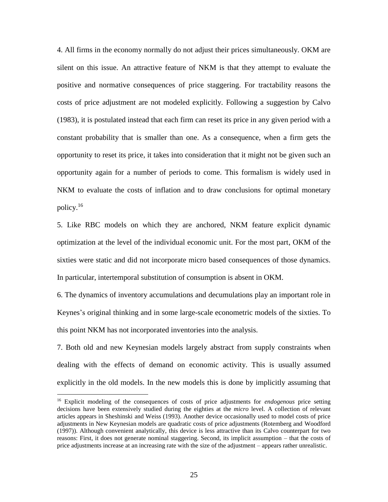4. All firms in the economy normally do not adjust their prices simultaneously. OKM are silent on this issue. An attractive feature of NKM is that they attempt to evaluate the positive and normative consequences of price staggering. For tractability reasons the costs of price adjustment are not modeled explicitly. Following a suggestion by Calvo (1983), it is postulated instead that each firm can reset its price in any given period with a constant probability that is smaller than one. As a consequence, when a firm gets the opportunity to reset its price, it takes into consideration that it might not be given such an opportunity again for a number of periods to come. This formalism is widely used in NKM to evaluate the costs of inflation and to draw conclusions for optimal monetary policy.<sup>16</sup>

5. Like RBC models on which they are anchored, NKM feature explicit dynamic optimization at the level of the individual economic unit. For the most part, OKM of the sixties were static and did not incorporate micro based consequences of those dynamics. In particular, intertemporal substitution of consumption is absent in OKM.

6. The dynamics of inventory accumulations and decumulations play an important role in Keynes's original thinking and in some large-scale econometric models of the sixties. To this point NKM has not incorporated inventories into the analysis.

7. Both old and new Keynesian models largely abstract from supply constraints when dealing with the effects of demand on economic activity. This is usually assumed explicitly in the old models. In the new models this is done by implicitly assuming that

<sup>16</sup> Explicit modeling of the consequences of costs of price adjustments for *endogenous* price setting decisions have been extensively studied during the eighties at the *micro* level. A collection of relevant articles appears in Sheshinski and Weiss (1993). Another device occasionally used to model costs of price adjustments in New Keynesian models are quadratic costs of price adjustments (Rotemberg and Woodford (1997)). Although convenient analytically, this device is less attractive than its Calvo counterpart for two reasons: First, it does not generate nominal staggering. Second, its implicit assumption – that the costs of price adjustments increase at an increasing rate with the size of the adjustment – appears rather unrealistic.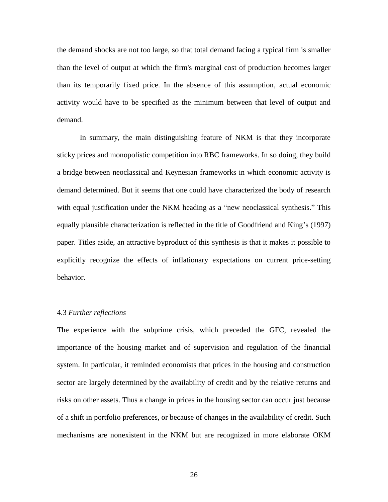the demand shocks are not too large, so that total demand facing a typical firm is smaller than the level of output at which the firm's marginal cost of production becomes larger than its temporarily fixed price. In the absence of this assumption, actual economic activity would have to be specified as the minimum between that level of output and demand.

In summary, the main distinguishing feature of NKM is that they incorporate sticky prices and monopolistic competition into RBC frameworks. In so doing, they build a bridge between neoclassical and Keynesian frameworks in which economic activity is demand determined. But it seems that one could have characterized the body of research with equal justification under the NKM heading as a "new neoclassical synthesis." This equally plausible characterization is reflected in the title of Goodfriend and King's (1997) paper. Titles aside, an attractive byproduct of this synthesis is that it makes it possible to explicitly recognize the effects of inflationary expectations on current price-setting behavior.

#### 4.3 *Further reflections*

The experience with the subprime crisis, which preceded the GFC, revealed the importance of the housing market and of supervision and regulation of the financial system. In particular, it reminded economists that prices in the housing and construction sector are largely determined by the availability of credit and by the relative returns and risks on other assets. Thus a change in prices in the housing sector can occur just because of a shift in portfolio preferences, or because of changes in the availability of credit. Such mechanisms are nonexistent in the NKM but are recognized in more elaborate OKM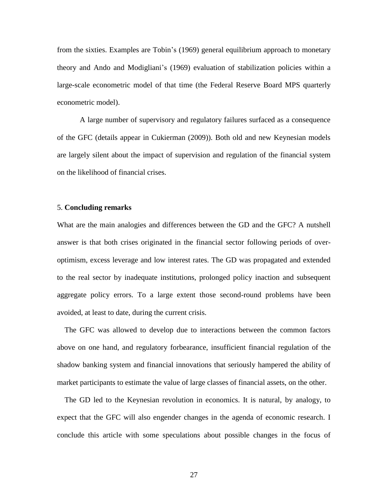from the sixties. Examples are Tobin's (1969) general equilibrium approach to monetary theory and Ando and Modigliani's (1969) evaluation of stabilization policies within a large-scale econometric model of that time (the Federal Reserve Board MPS quarterly econometric model).

A large number of supervisory and regulatory failures surfaced as a consequence of the GFC (details appear in Cukierman (2009)). Both old and new Keynesian models are largely silent about the impact of supervision and regulation of the financial system on the likelihood of financial crises.

#### 5. **Concluding remarks**

What are the main analogies and differences between the GD and the GFC? A nutshell answer is that both crises originated in the financial sector following periods of overoptimism, excess leverage and low interest rates. The GD was propagated and extended to the real sector by inadequate institutions, prolonged policy inaction and subsequent aggregate policy errors. To a large extent those second-round problems have been avoided, at least to date, during the current crisis.

 The GFC was allowed to develop due to interactions between the common factors above on one hand, and regulatory forbearance, insufficient financial regulation of the shadow banking system and financial innovations that seriously hampered the ability of market participants to estimate the value of large classes of financial assets, on the other.

 The GD led to the Keynesian revolution in economics. It is natural, by analogy, to expect that the GFC will also engender changes in the agenda of economic research. I conclude this article with some speculations about possible changes in the focus of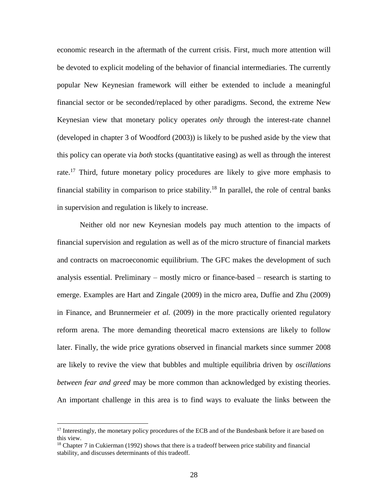economic research in the aftermath of the current crisis. First, much more attention will be devoted to explicit modeling of the behavior of financial intermediaries. The currently popular New Keynesian framework will either be extended to include a meaningful financial sector or be seconded/replaced by other paradigms. Second, the extreme New Keynesian view that monetary policy operates *only* through the interest-rate channel (developed in chapter 3 of Woodford (2003)) is likely to be pushed aside by the view that this policy can operate via *both* stocks (quantitative easing) as well as through the interest rate.<sup>17</sup> Third, future monetary policy procedures are likely to give more emphasis to financial stability in comparison to price stability.<sup>18</sup> In parallel, the role of central banks in supervision and regulation is likely to increase.

Neither old nor new Keynesian models pay much attention to the impacts of financial supervision and regulation as well as of the micro structure of financial markets and contracts on macroeconomic equilibrium. The GFC makes the development of such analysis essential. Preliminary – mostly micro or finance-based – research is starting to emerge. Examples are Hart and Zingale (2009) in the micro area, Duffie and Zhu (2009) in Finance, and Brunnermeier *et al.* (2009) in the more practically oriented regulatory reform arena. The more demanding theoretical macro extensions are likely to follow later. Finally, the wide price gyrations observed in financial markets since summer 2008 are likely to revive the view that bubbles and multiple equilibria driven by *oscillations between fear and greed* may be more common than acknowledged by existing theories. An important challenge in this area is to find ways to evaluate the links between the

<sup>&</sup>lt;sup>17</sup> Interestingly, the monetary policy procedures of the ECB and of the Bundesbank before it are based on this view.

 $18$  Chapter 7 in Cukierman (1992) shows that there is a tradeoff between price stability and financial stability, and discusses determinants of this tradeoff.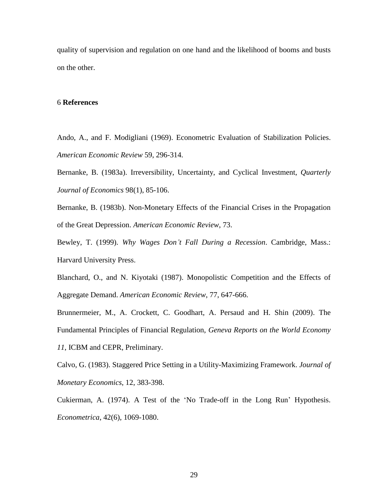quality of supervision and regulation on one hand and the likelihood of booms and busts on the other.

#### 6 **References**

Ando, A., and F. Modigliani (1969). Econometric Evaluation of Stabilization Policies. *American Economic Review* 59, 296-314.

Bernanke, B. (1983a). Irreversibility, Uncertainty, and Cyclical Investment, *Quarterly Journal of Economics* 98(1), 85-106.

Bernanke, B. (1983b). Non-Monetary Effects of the Financial Crises in the Propagation of the Great Depression. *American Economic Review*, 73.

Bewley, T. (1999). *Why Wages Don't Fall During a Recession*. Cambridge, Mass.: Harvard University Press.

Blanchard, O., and N. Kiyotaki (1987). Monopolistic Competition and the Effects of Aggregate Demand. *American Economic Review*, 77, 647-666.

Brunnermeier, M., A. Crockett, C. Goodhart, A. Persaud and H. Shin (2009). The Fundamental Principles of Financial Regulation, *Geneva Reports on the World Economy 11*, ICBM and CEPR, Preliminary.

Calvo, G. (1983). Staggered Price Setting in a Utility-Maximizing Framework. *Journal of Monetary Economics*, 12, 383-398.

Cukierman, A. (1974). A Test of the 'No Trade-off in the Long Run' Hypothesis. *Econometrica*, 42(6), 1069-1080.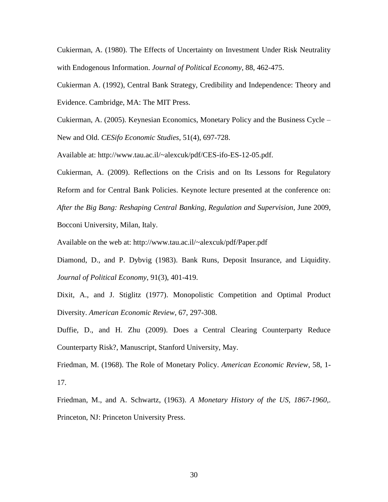Cukierman, A. (1980). The Effects of Uncertainty on Investment Under Risk Neutrality with Endogenous Information. *Journal of Political Economy*, 88, 462-475.

Cukierman A. (1992), Central Bank Strategy, Credibility and Independence: Theory and Evidence. Cambridge, MA: The MIT Press.

Cukierman, A. (2005). Keynesian Economics, Monetary Policy and the Business Cycle – New and Old. *CESifo Economic Studies*, 51(4), 697-728.

Available at: http://www.tau.ac.il/~alexcuk/pdf/CES-ifo-ES-12-05.pdf.

Cukierman, A. (2009). Reflections on the Crisis and on Its Lessons for Regulatory Reform and for Central Bank Policies. Keynote lecture presented at the conference on: *After the Big Bang: Reshaping Central Banking, Regulation and Supervision*, June 2009, Bocconi University, Milan, Italy.

Available on the web at: http://www.tau.ac.il/~alexcuk/pdf/Paper.pdf

Diamond, D., and P. Dybvig (1983). Bank Runs, Deposit Insurance, and Liquidity. *Journal of Political Economy*, 91(3), 401-419.

Dixit, A., and J. Stiglitz (1977). Monopolistic Competition and Optimal Product Diversity. *American Economic Review*, 67, 297-308.

Duffie, D., and H. Zhu (2009). Does a Central Clearing Counterparty Reduce Counterparty Risk?, Manuscript, Stanford University, May.

Friedman, M. (1968). The Role of Monetary Policy. *American Economic Review*, 58, 1- 17.

Friedman, M., and A. Schwartz, (1963). *A Monetary History of the US, 1867-1960*,. Princeton, NJ: Princeton University Press.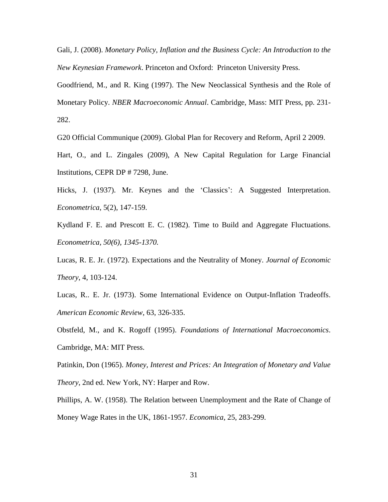Gali, J. (2008). *Monetary Policy, Inflation and the Business Cycle: An Introduction to the New Keynesian Framework*. Princeton and Oxford: Princeton University Press.

Goodfriend, M., and R. King (1997). The New Neoclassical Synthesis and the Role of Monetary Policy. *NBER Macroeconomic Annual*. Cambridge, Mass: MIT Press, pp. 231- 282.

G20 Official Communique (2009). Global Plan for Recovery and Reform, April 2 2009.

Hart, O., and L. Zingales (2009), A New Capital Regulation for Large Financial Institutions, CEPR DP # 7298, June.

Hicks, J. (1937). Mr. Keynes and the 'Classics': A Suggested Interpretation. *Econometrica*, 5(2), 147-159.

Kydland F. E. and Prescott E. C. (1982). Time to Build and Aggregate Fluctuations. *Econometrica, 50(6), 1345-1370.*

Lucas, R. E. Jr. (1972). Expectations and the Neutrality of Money. *Journal of Economic Theory*, 4, 103-124.

Lucas, R.. E. Jr. (1973). Some International Evidence on Output-Inflation Tradeoffs. *American Economic Review*, 63, 326-335.

Obstfeld, M., and K. Rogoff (1995). *Foundations of International Macroeconomics*. Cambridge, MA: MIT Press.

Patinkin, Don (1965). *Money, Interest and Prices: An Integration of Monetary and Value Theory*, 2nd ed. New York, NY: Harper and Row.

Phillips, A. W. (1958). The Relation between Unemployment and the Rate of Change of Money Wage Rates in the UK, 1861-1957. *Economica*, 25, 283-299.